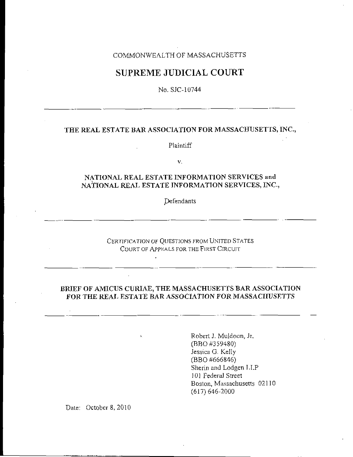## COMMONWEALTH OF MASSACHUSETTS

## SUPREME JUDICIAL COURT

No. SJC-10744

## THE REAL ESTATE BAR ASSOCIATION FOR MASSACHUSETTS, INC.,

Plaintiff

 $V_{\star}$ 

## NATIONAL REAL ESTATE INFORMATION SERVICES and NATIONAL REAL ESTATE INFORMATION SERVICES, INC.,

Defendants

CERTIFICATION OF QUESTIONS FROM UNITED STATES COURT OF APPEALS FOR THE FIRST CIRCUIT

 $\mathbf{r}$ 

## BRIEF OF AMICUS CURIAE, THE MASSACHUSETTS BAR ASSOCIATION FOR THE REAL ESTATE BAR ASSOCIATION FOR MASSACHUSETTS

Robert J. Muldoon, Jr. (BBO #359480) Jessica G. Kelly (BBO #666846) Sherin and Lodgen LLP 101 Federal Street Boston, Massachusetts 02110  $(617) 646 - 2000$ 

Date: October 8, 2010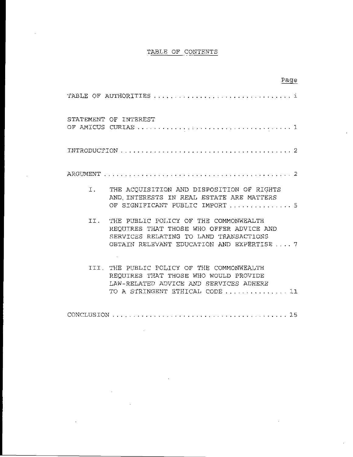## TABLE OF CONTENTS

 $\ddot{\phantom{a}}$ 

 $\bar{z}$ 

|                                                                                                                                                                                  | Page |
|----------------------------------------------------------------------------------------------------------------------------------------------------------------------------------|------|
|                                                                                                                                                                                  |      |
| STATEMENT OF INTEREST                                                                                                                                                            |      |
|                                                                                                                                                                                  |      |
|                                                                                                                                                                                  |      |
| I. THE ACOULSITION AND DISPOSITION OF RIGHTS<br>AND INTERESTS IN REAL ESTATE ARE MATTERS<br>OF SIGNIFICANT PUBLIC IMPORT  5                                                      |      |
| TT.<br>THE PUBLIC POLICY OF THE COMMONWEALTH<br>REQUIRES THAT THOSE WHO OFFER ADVICE AND<br>SERVICES RELATING TO LAND TRANSACTIONS<br>OBTAIN RELEVANT EDUCATION AND EXPERTISE  7 |      |
| III. THE PUBLIC POLICY OF THE COMMONWEALTH<br>REQUIRES THAT THOSE WHO WOULD PROVIDE<br>LAW-RELATED ADVICE AND SERVICES ADHERE<br>TO A STRINGENT ETHICAL CODE  11                 |      |
|                                                                                                                                                                                  |      |

 $\bar{z}$ 

 $\label{eq:2} \frac{1}{2} \sum_{i=1}^n \frac{1}{2} \sum_{j=1}^n \frac{1}{2} \sum_{j=1}^n \frac{1}{2} \sum_{j=1}^n \frac{1}{2} \sum_{j=1}^n \frac{1}{2} \sum_{j=1}^n \frac{1}{2} \sum_{j=1}^n \frac{1}{2} \sum_{j=1}^n \frac{1}{2} \sum_{j=1}^n \frac{1}{2} \sum_{j=1}^n \frac{1}{2} \sum_{j=1}^n \frac{1}{2} \sum_{j=1}^n \frac{1}{2} \sum_{j=1}^n \frac{1}{$ 

 $\sim 10^{-1}$ 

 $\bar{\beta}$ 

 $\sim 10^7$ 

 $\hat{\epsilon}$ 

 $\hat{\boldsymbol{\theta}}$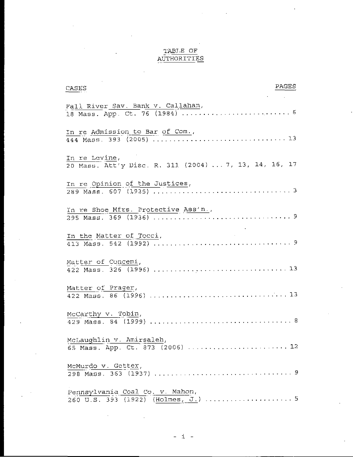# TABLE OF<br>AUTHORITIES

| PAGES<br>CASES                                                         |
|------------------------------------------------------------------------|
| Fall River Sav. Bank v. Callahan,                                      |
| In re Admission to Bar of Com.                                         |
| In re Levine,<br>20 Mass. Att'y Disc. R. 311 (2004)  7, 13, 14, 16, 17 |
| In re Opinion of the Justices,                                         |
| In re Shoe Mfrs. Protective Ass'n.,                                    |
|                                                                        |
| Matter of Concemi,                                                     |
| Matter of Prager,                                                      |
| McCarthy v. Tobin,                                                     |
| McLaughlin v. Amirsaleh,<br>65 Mass. App. Ct. 873 (2006)  12           |
| McMurdo v. Getter,                                                     |
| Pennsylvania Coal Co. v. Mahon,                                        |

.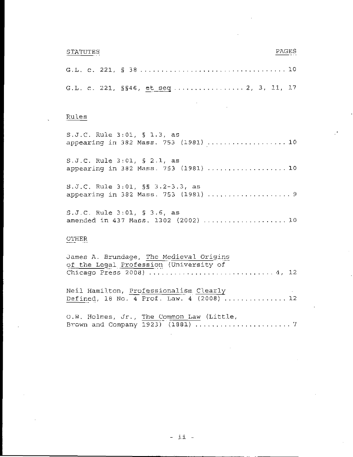#### STATUTES

#### PAGES

|  |  | G.L. c. 221, §§46, <u>et seq</u> 2, 3, 11, 17 |  |
|--|--|-----------------------------------------------|--|

#### Rules

S.J.C. **Rule** 3:01, **5** 1.3, as appearing *in 382 Mass. 753* (1981) 10 **S.J.C.** Rule 3:01, **3** 2.1, as appearing in *382* **Mass.** *753* **(3.981)** ................... 10

S.J.C. **Rule** 3:01, *55 3.2-3.3, as*  appearing in 382 Mass. 753 (1981) ......................9

:;.J.c. Rule 3:01, **3** *3.6,* as amended in 437 Mass. 1302 (2002) ...................... 10

## $\overline{\text{O}}$ Ther

| James A. Brundage, The Medieval Origins   |  |
|-------------------------------------------|--|
| of the Legal Profession (University of    |  |
| Chicago Press 2008)  4, 12                |  |
|                                           |  |
| Neil Hamilton, Professionalism Clearly    |  |
| Defined, 18 No. 4 Prof. Law. 4 (2008)  12 |  |
|                                           |  |
| O.W. Holmes, Jr., The Common Law (Little, |  |

Brown and Company 1923) (1881) ........................ *'I*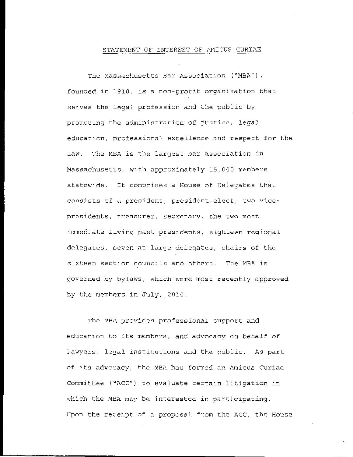### STATEMENT OF INTEREST OF AMICUS CURIAE

The Massachusetts Bar Association ("MBA"), founded in *1910,* is a non-profst organization *that*  serves the legal profession and the public by promoting the administration of justice, legal. education, professional excellence arid respect for the law. The MBA *is* **the** largest bar association in Massachusetts, with approximately 15,000 members statcwide. It comprises a House of Delegates that consists of a president, president-elect, two vice- presidents, treasurer, secretary, the two most immediate living past presidents, eighteen regional delegates, seven at-large delegates, chairs of the sixteen section councils and others. The MBA is governed by bylaws, which were most recently approved by the members in July, 2010.

The MBA provides professional support and education to its members, and advocacy on behalf of Jawyers, lcgal institutions **and** the public. **As** part nf its advocacy, the MBA has formed an Amicus Curiae Committee ("ACC") to evaluate certain litigation in which the MBA may be interested in participating. Upon the receipt of a proposal. from the ACC, the Housc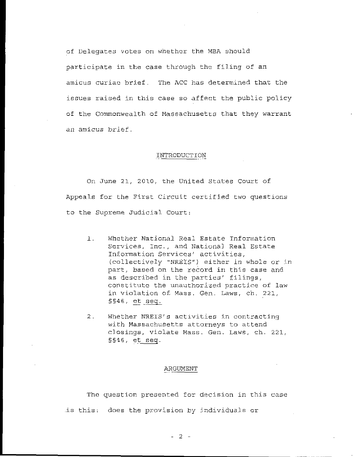of Delegates votes on whether the MBA should participate in the case through the filing of an amicus curiae brief. The ACC has determined that the issues raised in this case so affect the public policy of the Commonwealth of Massachusetts that they warrant an amicus brief.

#### INTRODUCTION

On June 21, 2010, the United States Court of Appeals for the First Circuit certified two questions to the Supreme Judicial Court:

- Whether National Real Estate Information  $\perp$ . Services, Inc., and National Real Estate Information Services' activities, (collectively "NREIS") either in whole or in part, based on the record in this case and as described in the parties' filings, constitute the unauthorized practice of law in violation of Mass. Gen. Laws, ch. 221,  $$546, et seq.$
- Whether NRETS's activities in contracting  $2<sub>1</sub>$ with Massachusetts attorneys to attend closings, violate Mass. Gen. Laws, ch. 221,  $$546, et seq.$

#### ARGUMENT

The question presented for decision in this case is this: does the provision by individuals or

 $-2 -$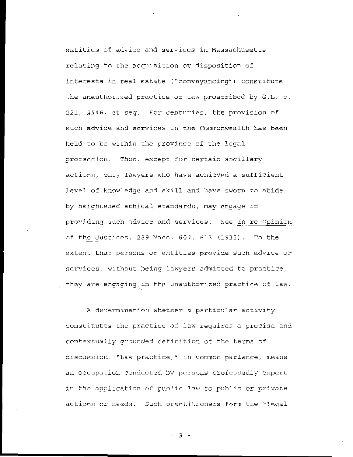entities of advice and services in Massachusetts relating to the acquisition or disposition of interests in real estate ("conveyancing") constitute the unauthorized practice of law proscribed by G.L. c. 221, §§46, et seq. For centuries, the provision of such advice and services in the Commonwealth has been held to be within the province of the legal profession. Thus, except for certain ancillary actions, only lawyers who have achieved a sufficient level of knowledge and skill and have sworn to abide by heightened ethical standards, may engage in providing such advice and services. See In re Opinion of the Justices, 289 Mass. 607, 613 (1935). To the extent that persons or entities provide such advice or services, without being lawyers admitted to practice, they are engaging in the unauthorized practice of law.

A determination whether a particular activity constitutes the practice of law requires a precise and contextually grounded definition of the terms of discussion. "Law practice," in common parlance, means an occupation conducted by persons professedly expert in the application of public law to public or private actions or needs. Such practitioners form the "legal

 $-3-$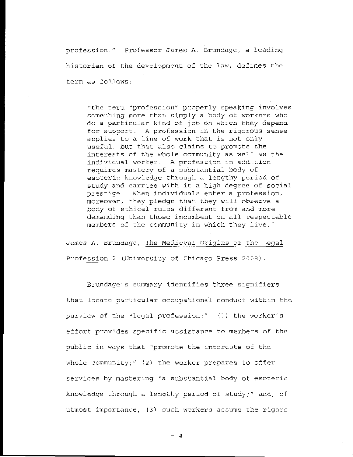profession." Professor James A. Brundage, a leading historian of the development of the law, defines the term as follows:

"the term "profession" properly speaking involves something more than simply a body of workers who do a particular kind of job on which they depend for support. A profession in the rigorous sense applies to a line of work that is not only useful, but that also claims to promote the interests of the whole community as well as the individual worker. A profession in addition requires mastery of a substantial body of esoteric knowledge through a lengthy period of study and carries with it a high degree of social prestige. When individuals enter a profession, moreover, they pledge that they will observe a body of ethical rules different from and more demanding than those incumbent on all respectable members of the community in which they live."

James A. Brundage, The Medieval Origins of the Legal Profession 2 (University of Chicago Press 2008).

Brundage's summary identifies three signifiers that locate particular occupational conduct within the purview of the "legal profession:" (1) the worker's effort provides specific assistance to members of the public in ways that "promote the interests of the whole community;"  $(2)$  the worker prepares to offer services by mastering "a substantial body of esoteric knowledge through a lengthy period of study;" and, of utmost importance, (3) such workers assume the rigors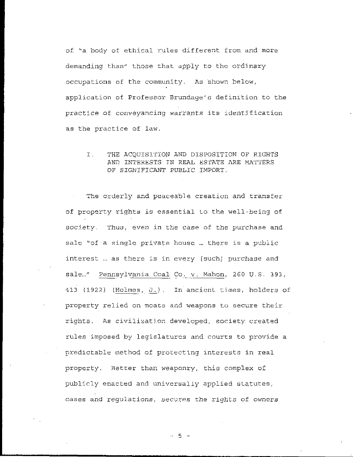of. "a body of ethical rules different from and more demanding than" those that apply to the ordinary occupations of the community. As shown below, application of Professor Brundage's definition to the practice of conveyancing warrants its identification as the practice of law.

 $\mathbf{I}$ . THE ACQUISITION AND DISPOSITION OF RIGHTS AND INTERESTS IN REAL ESTATE ARE MATTERS OF SIGNIFICANT PUBLIC IMPORT.

The orderly and peaceable creation and transfer of property rights is essential to the well-being of society. Thus, even in the case of the purchase and sale "of a single private house ... there is a public interest ... as there is in every [such] purchase and sale..." Pennsylvania Coal Co. v. Mahon, 260 U.S. 393, 413 (1922) (Holmes, J.). In ancient times, holders of property relied on moats and weapons to secure their rights. As civilization developed, society created rules imposed by legislatures and courts to provide a predictable method of protecting interests in real property. Better than weaponry, this complex of publicly enacted and universally applied statutes, cases and regulations, secures the rights of owners

 $-5 - -$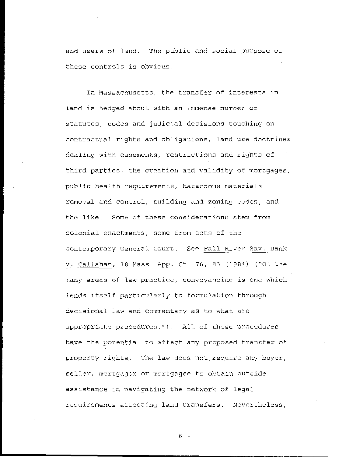and users of land. The public and social purpose of these controls is obvious.

In Massachusetts, the transfer of interests in land is hedged about with an immense number of statutes, codes and judicial decisions touching on contractual rights and obligations, land use doctrines dealing with easements, restrictions and rights of third parties, the creation and validity of mortgages, public health requirements, hazardous materials removal and control, building and zoning codes, and the like. Some of these considerations stem from colonial enactments, some from acts of the contemporary General Court. See Fall River Sav. Bank v. Callahan, 18 Mass. App. Ct. 76, 83 (1984) ("Of the many areas of law practice, conveyancing is one which lends itself particularly to formulation through decisional law and commentary as to what are appropriate procedures."). All of these procedures have the potential to affect any proposed transfer of property rights. The law does not require any buyer, seller, mortgagor or mortgagee to obtain outside assistance in navigating the network of legal requirements affecting land transfers. Neverthcless,

- 6 -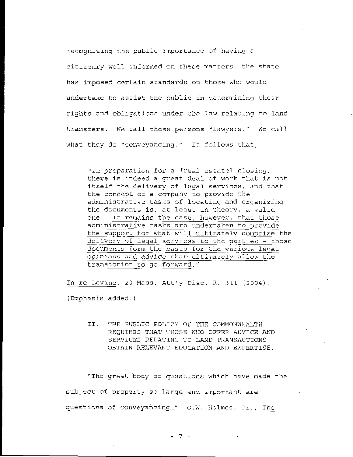recognizing the public importance of having a citizenry well-informed on these matters, the state has imposed certain standards on those who would undertake to assist the public in determining their rights and obligations under the law relating to land transfers. We call those persons "lawyers." We call what they do "conveyancing." It follows that,

"in preparation for a [real estate] closing, there is indeed a great deal of work that is not itself the delivery of legal services, and that the concept of a company to provide the administrative tasks of locating and organizing the documents is, at least in theory, a valid It remains the case, however, that those one. administrative tasks are undertaken to provide the support for what will ultimately comprise the delivery of legal services to the parties - those documents form the basis for the various legal opinions and advice that ultimately allow the transaction to go forward."

In re Levine, 20 Mass. Att'y Disc. R. 311 (2004). (Emphasis added.)

> II. THE PUBLIC POLICY OF THE COMMONWEALTH REQUIRES THAT THOSE WHO OFFER ADVICE AND SERVICES RELATING TO LAND TRANSACTIONS OBTAIN RELEVANT EDUCATION AND EXPERTISE.

"The great body of questions which have made the subject of property so large and important are questions of conveyancing..." O.W. Holmes, Jr., The

 $-7 -$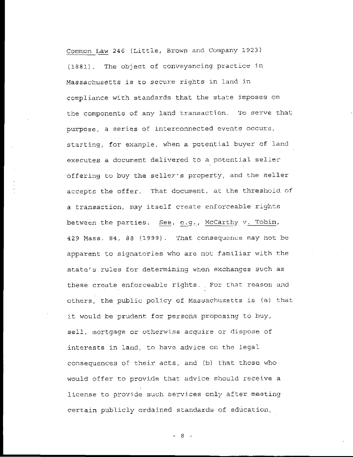Common Law 246 (Little, Brown and Company 1923) **(1881).** The object of conveyancing practice in Massachusetts is to secure rights in land in compliance with standards that the state imposes on the components of any land transaction. To serve that purpose, a series of interconnected events occurs, starting, for example, when a potential buyer of land executes **a** document delivered to a potentjal seller' offering to buy the seller's property, and the seller accepts the offer. That document, **at** the threshuld. of a transaction, may itself create enforceable rights between the parties. ~ See, **c.Y.,,** Mccarthy . **v.** Tobin, 429 Mass. 84, *88* (1999). 'That. consequence may not be apparent to signatories who are not familiar with the state's rules for determining when exchangcs such as these create enforceable rights. For that reason and others, the public po7,icy of MasSachusetts is **(a)** that it would be prudent for persons proposing to buy, sell, mortgage or otherwise acquire or dispose of interests in land, to have advice on the legal. consequences *of* their acts, and (b) that thosc who would offer to provide that advice should receive a license to provide such services only after meeting certain publ.icly ordained standards; of education,

*-8-*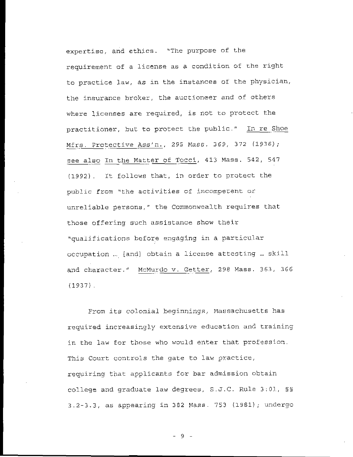expertise, and ethics. "The purpose of the requirement of a license as a condition of the right to practice law, as in the instances of the physician, the insurance broker, the auctioneer and of others where licenses are required, is not to protect the practitioner, but to protect the public." In re Shoe Mfrs. Protective Ass'n., 295 Mass. 369, 372 (1936); see also In the Matter of Tocci, 413 Mass. 542, 547 (1992). It follows that, in order to protect the public from "the activities of incompetent or unreliable persons," the Commonwealth requires that those offering such assistance show their "qualifications before engaging in a particular occupation ... [and] obtain a license attesting ... skill and character." McMurdo v. Getter, 298 Mass. 363, 366  $(1937)$ .

From its colonial beginnings, Massachusetts has required increasingly extensive education and training in the law for those who would enter that profession. This Court controls the gate to law practice, requiring that applicants for bar admission obtain college and graduate law degrees, S.J.C. Rule 3:01, SS 3.2-3.3, as appearing in 382 Mass. 753 (1981); undergo

 $-9 -$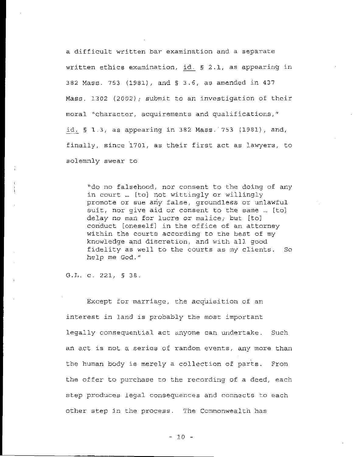a difficult written **bar** examination and. a separate written ethics examination, ~ id. *5* **2.1,** as appearing in **392** Mass,. **753 (1981),** and **5 3.6,** as amended in 437 Mass. 1302 (2002); submit *to* an lnvcstigation of their moral "character, acquirements and qualifications," id. § 1.3, as appearing in 382 Mass. 753 (1981), and, finally, since 1701, as their first act as lawyers, to solemnly swear to

"do no falsehood, nor consent *to* the doing of any in court ... [to] not wittingly or willingly promote or sue any false, groundless or unlawful suit, nor give aid or consent to the same ... [to] *delay* no *man for* lucre *or* malice; but [to] conduct [oneself] in the office of an attorney within the courts according to the best of my knowledye and discretion, and with all, good fidelity as well to the courts as my clients. *So help* **me** God."

G.Jj. **c. 221,** *5 38* 

Except for marri-aqe, che acquisition **of** an interest in land is probably the most important legally consequential act anyone can undertake. Such an act is not a series of random events, any more than the human body is merely a collection of parts. the offer' to purchase to the recording of a deed, each step produces legal consequences and connects to each other step in the process. The Ccmmonwealth has From

 $-10 -$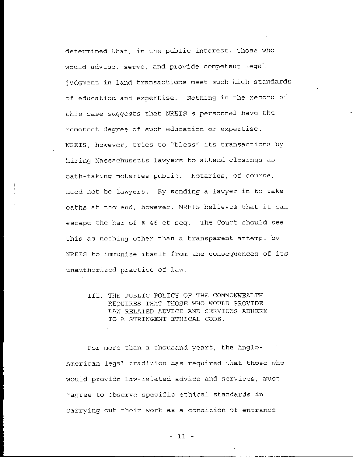determined that, in the public interest, those who would advise, serve; and provide competent legal judgment in land transactions meet such high standards of education and expertise. Nothing in the record of Lhis case suggests that **NREIS's** personnel have the remotest **degree** of such education or expertise. NRETS, however, tries to "bless" its transacticns by hiring Massachusetts **lawyers to** attend closings as oath-taking notaries public. Notaries, of course, necd not be lawyers. By sending **a** I.awyer in to take oaths at the. end, however, NREIS believes that it can escape the bar- *of 5* 46 et **seq.** The Court should see this as nothing other than a transparent attempt by NREIS to immunize itself from the consequences of its unauthorized practice of law.

111. TIIE PUELIC POLICY **OF** THE COMMONWEALTH REQUIRES THA'I' THOSE WHO WOULD PROVIDE LAW-RELATED ADVICE AND SERVICES ADHERE TO **A** STRINGENT E'rHIC4L CODE.

For more than a thousand years, the Anglo-American legal tradition has required that those who would provide law-related advice and services, must "agree to observe specific ethical standards in carrying out their work as a condition of entrance

 $-11 -$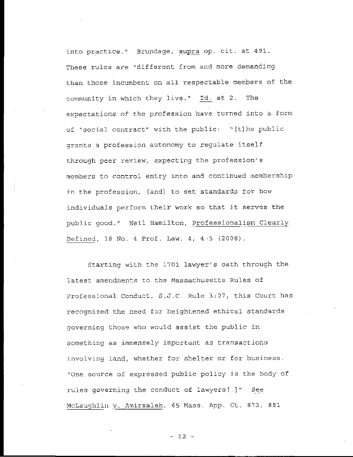into practice." Brundage, supra op. cit. at 491. These rules are "different from and more demanding than those incumbent on all respectable members of the community in which they live." Id. at 2. The expectations *nf* thc profession have turned into a form or "soci.al contract" with the public: " [t] he public grants a profession autonomy to regulate itself through peer review, expecting the profession's mcmbers to control entry into and continued membership in the profession, [and] to set standards for how individua1.s perform t.heir work so that jt serves the public good." Neil Hamilton, Professionalism Clearly Defined,  $18$  No. 4 Prof. Law.  $4, 4.5$  (2008).

Starting with the 1701 lawyer's oath through the latest amendments to the Massachusetts Rules of Professional Conduct, S.J.C. Rule 3:07, this Court has recognized the need for heightened ethical standards governing those who would assist the public in something as immensely important as transactions involving land, whether for shelter or for business. "One source of expressed public policy js the body of rules governing the conduct of lawyers[.]" See McLaughlin v. Amirsaleh, 65 Mass. App. Ct. 873, 881

- **1.2** -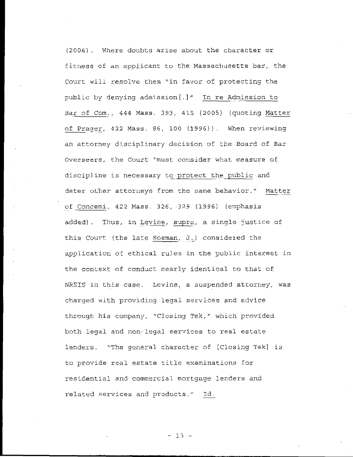(2006). Where doubts arise about the character or fitness of an applicant to the Massachusetts bar, the Court will resolve them "in favor of protecting the public by denying admission [.] " In re Admission to Bar of Com., 444 Mass. 393, 415 (2005) (quoting Matter of Prager, 422 Mass. 86, 100 (1996)). When reviewing an attorney disciplinary decision of the Board of Bar Overseers, the Court "must consider what measure of discipline is necessary to protect the public and deter other attorneys from the same behavior." Matter of Concemi, 422 Mass. 326, 329 (1996) (emphasis added). Thus, in Levine, supra, a single justice of this Court (the late Sosman, J.) considered the application of ethical rules in the public interest in the context of conduct nearly identical to that of NREIS in this case. Levine, a suspended attorney, was charged with providing legal services and advice through his company, "Closing Tek," which provided both legal and non-legal services to real estate lenders. "The general character of [Closing Tek] is to provide real estate title examinations for residential and commercial mortgage lenders and related services and products." Id.

 $-13 -$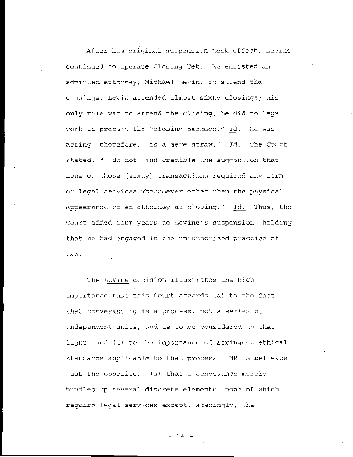After his original suspension took effect, Levine continued to operate Closing Tek. He enlisted an admitted attorney, Michael Levin, to attend the closings. Levin attended almost sixty closings; his only role was to attend the closing; he did no legal work to prepare the "closing package." Id. He was acting, therefore, "as a mere straw." Id. The Court stated, "I do not find credible the suggestion that none of those [sixty] transactions required any form of legal services whatsoever other than the physical appearance of an attorney at closing." Id. Thus, the Court added four years to Levine's suspension, holding that he had engaged in the unauthorized practice of law.

The Levine decision illustrates the high importance that this Court accords (a) to the fact that conveyancing is a process, not a series of independent units, and is to be considered in that light; and (b) to the importance of stringent ethical standards applicable to that process. NREIS believes just the opposite: (a) that a conveyance merely bundles up several discrete elements, none of which require legal services except, amazingly, the

 $- 14 -$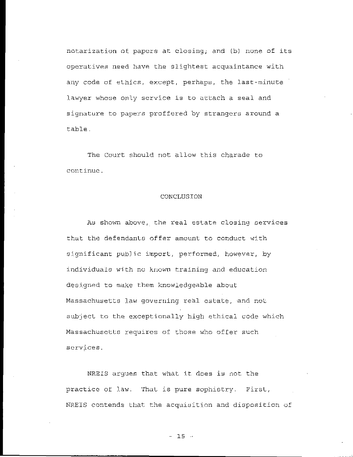notarization of papers at closing; and (b) none of its operatives need have the slightest acquaintance with any code of ethics, except, perhaps, the last-minute lawyer whose only service is to attach a seal and signature to papers proffered by strangers around a table.

The Court should not allow this charade to continue.

#### CONCLUSION

As shown above, the real estate closing services that the defendants offer amount to conduct with significant public import, performed, however, by individuals with no known training and education designed to make them knowledgeable about Massachusetts law governing real estate, and not subject to the exceptionally high ethical code which Massachusetts requires of those who offer such services.

NREIS argues that what it does is not the practice of law. That is pure sophistry. First, NREIS contends that the acquisition and disposition of

 $-15$   $-$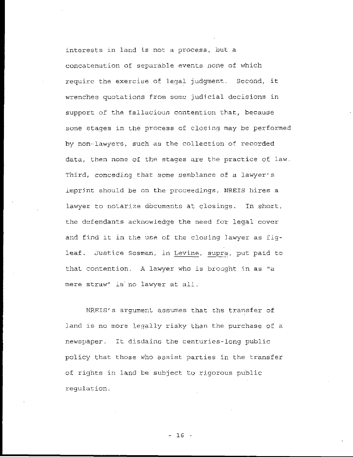interests in land is not a process, but a concatenation of separable events none of which require the exercise of legal judgment. Second, it wrenches quotations from some judicial decisions in support of the fallacious contention that, because some stages in the process of closing may be performed by non-lawyers, such as the collection of recorded data, then none of the stages are the practice of law. Third, conceding that some semblance of a lawyer's imprint should be on the proceedings, NREIS hires a lawyer to notarize documents at closings. In short, the defendants acknowledge the need for legal cover and find it in the use of the closing lawyer as figleaf. Justice Sosman, in Levine, supra, put paid to that contention. A lawyer who is brought in as "a mere straw" is no lawyer at all.

NREIS's argument assumes that the transfer of land is no more legally risky than the purchase of a newspaper. It disdains the centuries-long public policy that those who assist parties in the transfer of rights in land be subject to rigorous public requlation.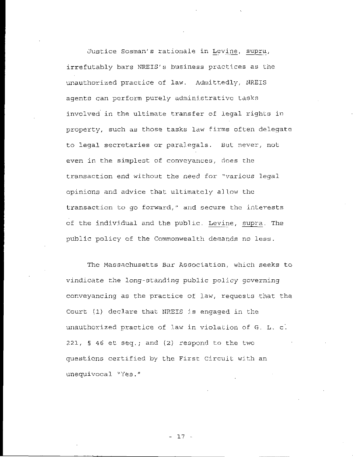Justice Sosman's rationale in Levine, supra, irrefutably bars NREIS's business practices as the unauthorized practice of law. Admittedly, NREIS agents can perform purely administrative tasks involved in the ultimate transfer of legal rights in property, such as those tasks law firms often delegate to legal secretaries or paralegals. But never, not even in the simplest of conveyances, does the transaction end without the need for "various legal opinions and advice that ultimately allow the transaction to go forward," and secure the interests of the individual and the public. Levine, supra. The public policy of the Commonwealth demands no less.

The Massachusetts Bar Association, which seeks to vindicate the long-standing public policy governing conveyancing as the practice of law, requests that the Court (1) declare that NREIS is engaged in the unauthorized practice of law in violation of G. L. c. 221,  $\frac{1}{2}$  46 et seq.; and (2) respond to the two questions certified by the First Circuit with an unequivocal "Yes."

 $-17 -$